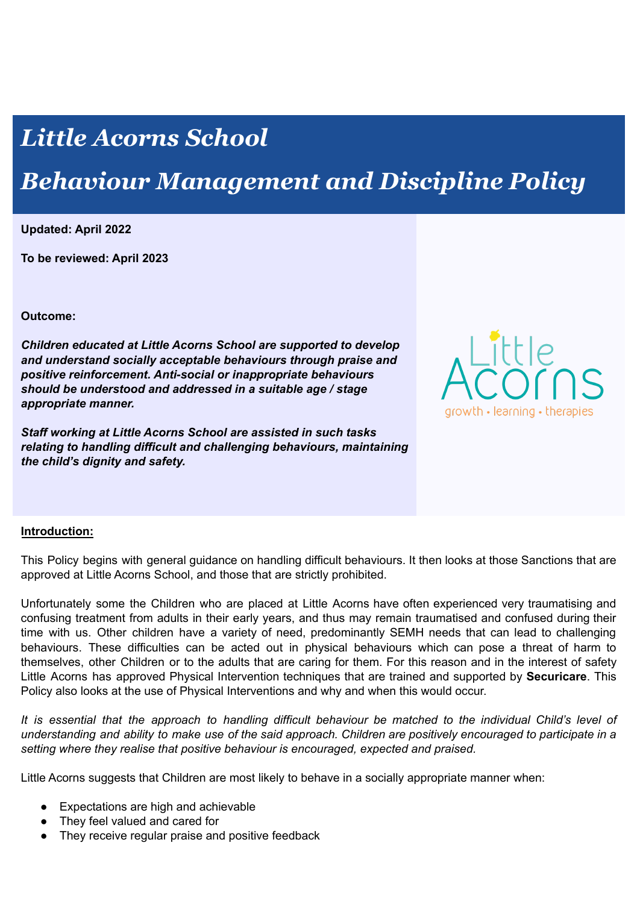# *Little Acorns School*

## *Behaviour Management and Discipline Policy*

**Updated: April 2022**

**To be reviewed: April 2023**

**Outcome:**

*Children educated at Little Acorns School are supported to develop and understand socially acceptable behaviours through praise and positive reinforcement. Anti-social or inappropriate behaviours should be understood and addressed in a suitable age / stage appropriate manner.*

*Staff working at Little Acorns School are assisted in such tasks relating to handling difficult and challenging behaviours, maintaining the child's dignity and safety.*



### **Introduction:**

This Policy begins with general guidance on handling difficult behaviours. It then looks at those Sanctions that are approved at Little Acorns School, and those that are strictly prohibited.

Unfortunately some the Children who are placed at Little Acorns have often experienced very traumatising and confusing treatment from adults in their early years, and thus may remain traumatised and confused during their time with us. Other children have a variety of need, predominantly SEMH needs that can lead to challenging behaviours. These difficulties can be acted out in physical behaviours which can pose a threat of harm to themselves, other Children or to the adults that are caring for them. For this reason and in the interest of safety Little Acorns has approved Physical Intervention techniques that are trained and supported by **Securicare**. This Policy also looks at the use of Physical Interventions and why and when this would occur.

It is essential that the approach to handling difficult behaviour be matched to the individual Child's level of understanding and ability to make use of the said approach. Children are positively encouraged to participate in a *setting where they realise that positive behaviour is encouraged, expected and praised.*

Little Acorns suggests that Children are most likely to behave in a socially appropriate manner when:

- Expectations are high and achievable
- They feel valued and cared for
- They receive regular praise and positive feedback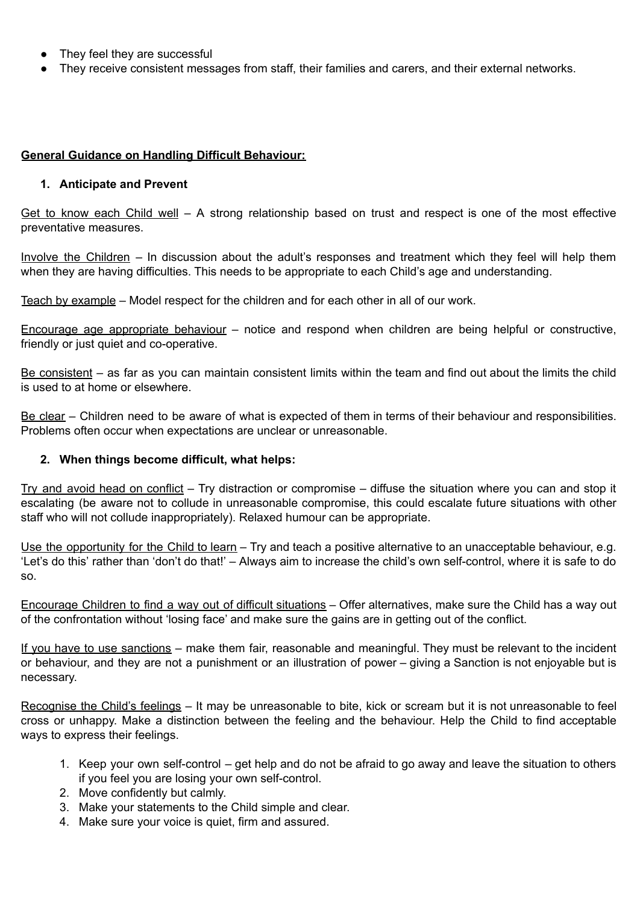- They feel they are successful
- They receive consistent messages from staff, their families and carers, and their external networks.

## **General Guidance on Handling Difficult Behaviour:**

### **1. Anticipate and Prevent**

Get to know each Child well – A strong relationship based on trust and respect is one of the most effective preventative measures.

Involve the Children – In discussion about the adult's responses and treatment which they feel will help them when they are having difficulties. This needs to be appropriate to each Child's age and understanding.

Teach by example – Model respect for the children and for each other in all of our work.

Encourage age appropriate behaviour – notice and respond when children are being helpful or constructive, friendly or just quiet and co-operative.

Be consistent – as far as you can maintain consistent limits within the team and find out about the limits the child is used to at home or elsewhere.

Be clear – Children need to be aware of what is expected of them in terms of their behaviour and responsibilities. Problems often occur when expectations are unclear or unreasonable.

### **2. When things become difficult, what helps:**

Try and avoid head on conflict – Try distraction or compromise – diffuse the situation where you can and stop it escalating (be aware not to collude in unreasonable compromise, this could escalate future situations with other staff who will not collude inappropriately). Relaxed humour can be appropriate.

Use the opportunity for the Child to learn – Try and teach a positive alternative to an unacceptable behaviour, e.g. 'Let's do this' rather than 'don't do that!' – Always aim to increase the child's own self-control, where it is safe to do so.

Encourage Children to find a way out of difficult situations – Offer alternatives, make sure the Child has a way out of the confrontation without 'losing face' and make sure the gains are in getting out of the conflict.

If you have to use sanctions – make them fair, reasonable and meaningful. They must be relevant to the incident or behaviour, and they are not a punishment or an illustration of power – giving a Sanction is not enjoyable but is necessary.

Recognise the Child's feelings – It may be unreasonable to bite, kick or scream but it is not unreasonable to feel cross or unhappy. Make a distinction between the feeling and the behaviour. Help the Child to find acceptable ways to express their feelings.

- 1. Keep your own self-control get help and do not be afraid to go away and leave the situation to others if you feel you are losing your own self-control.
- 2. Move confidently but calmly.
- 3. Make your statements to the Child simple and clear.
- 4. Make sure your voice is quiet, firm and assured.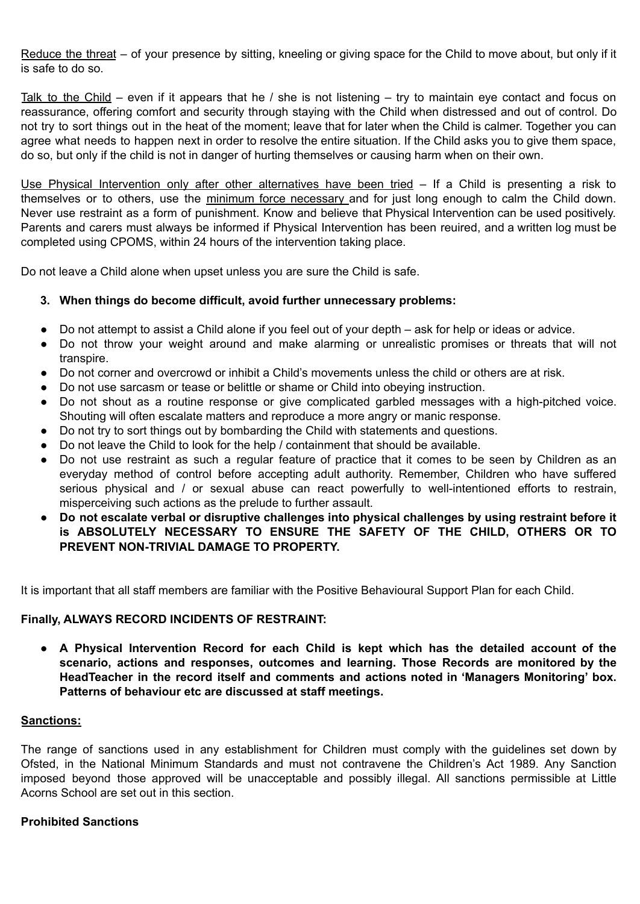Reduce the threat – of your presence by sitting, kneeling or giving space for the Child to move about, but only if it is safe to do so.

Talk to the Child – even if it appears that he / she is not listening – try to maintain eye contact and focus on reassurance, offering comfort and security through staying with the Child when distressed and out of control. Do not try to sort things out in the heat of the moment; leave that for later when the Child is calmer. Together you can agree what needs to happen next in order to resolve the entire situation. If the Child asks you to give them space, do so, but only if the child is not in danger of hurting themselves or causing harm when on their own.

Use Physical Intervention only after other alternatives have been tried – If a Child is presenting a risk to themselves or to others, use the minimum force necessary and for just long enough to calm the Child down. Never use restraint as a form of punishment. Know and believe that Physical Intervention can be used positively. Parents and carers must always be informed if Physical Intervention has been reuired, and a written log must be completed using CPOMS, within 24 hours of the intervention taking place.

Do not leave a Child alone when upset unless you are sure the Child is safe.

### **3. When things do become difficult, avoid further unnecessary problems:**

- Do not attempt to assist a Child alone if you feel out of your depth ask for help or ideas or advice.
- Do not throw your weight around and make alarming or unrealistic promises or threats that will not transpire.
- Do not corner and overcrowd or inhibit a Child's movements unless the child or others are at risk.
- Do not use sarcasm or tease or belittle or shame or Child into obeying instruction.
- Do not shout as a routine response or give complicated garbled messages with a high-pitched voice. Shouting will often escalate matters and reproduce a more angry or manic response.
- Do not try to sort things out by bombarding the Child with statements and questions.
- Do not leave the Child to look for the help / containment that should be available.
- Do not use restraint as such a regular feature of practice that it comes to be seen by Children as an everyday method of control before accepting adult authority. Remember, Children who have suffered serious physical and / or sexual abuse can react powerfully to well-intentioned efforts to restrain, misperceiving such actions as the prelude to further assault.
- **Do not escalate verbal or disruptive challenges into physical challenges by using restraint before it is ABSOLUTELY NECESSARY TO ENSURE THE SAFETY OF THE CHILD, OTHERS OR TO PREVENT NON-TRIVIAL DAMAGE TO PROPERTY.**

It is important that all staff members are familiar with the Positive Behavioural Support Plan for each Child.

### **Finally, ALWAYS RECORD INCIDENTS OF RESTRAINT:**

**● A Physical Intervention Record for each Child is kept which has the detailed account of the scenario, actions and responses, outcomes and learning. Those Records are monitored by the HeadTeacher in the record itself and comments and actions noted in 'Managers Monitoring' box. Patterns of behaviour etc are discussed at staff meetings.**

#### **Sanctions:**

The range of sanctions used in any establishment for Children must comply with the guidelines set down by Ofsted, in the National Minimum Standards and must not contravene the Children's Act 1989. Any Sanction imposed beyond those approved will be unacceptable and possibly illegal. All sanctions permissible at Little Acorns School are set out in this section.

### **Prohibited Sanctions**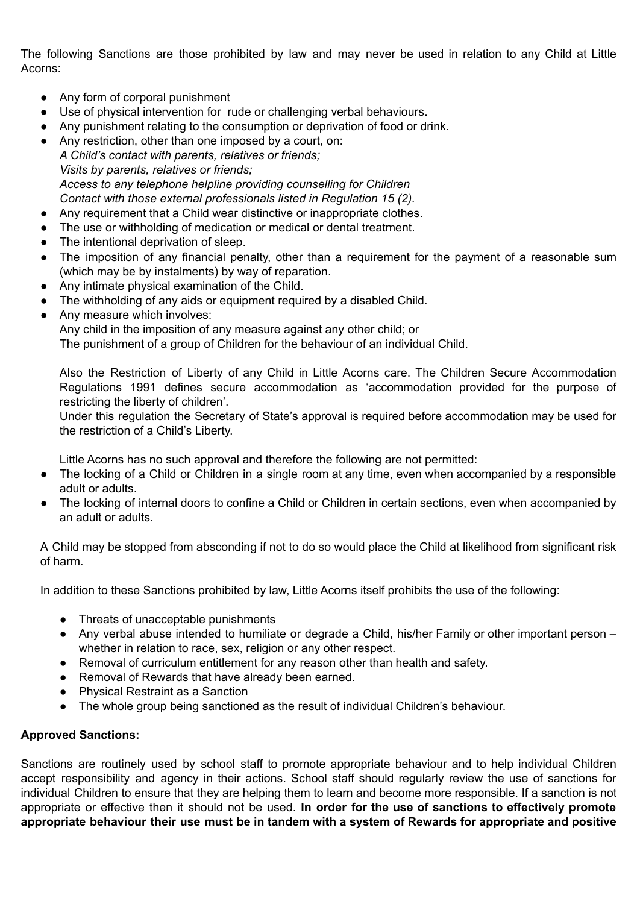The following Sanctions are those prohibited by law and may never be used in relation to any Child at Little Acorns:

- Any form of corporal punishment
- Use of physical intervention for rude or challenging verbal behaviours**.**
- Any punishment relating to the consumption or deprivation of food or drink.
- Any restriction, other than one imposed by a court, on: *A Child's contact with parents, relatives or friends; Visits by parents, relatives or friends; Access to any telephone helpline providing counselling for Children Contact with those external professionals listed in Regulation 15 (2).*
- Any requirement that a Child wear distinctive or inappropriate clothes.
- The use or withholding of medication or medical or dental treatment.
- The intentional deprivation of sleep.
- The imposition of any financial penalty, other than a requirement for the payment of a reasonable sum (which may be by instalments) by way of reparation.
- Any intimate physical examination of the Child.
- The withholding of any aids or equipment required by a disabled Child.
- Any measure which involves:

Any child in the imposition of any measure against any other child; or

The punishment of a group of Children for the behaviour of an individual Child.

Also the Restriction of Liberty of any Child in Little Acorns care. The Children Secure Accommodation Regulations 1991 defines secure accommodation as 'accommodation provided for the purpose of restricting the liberty of children'.

Under this regulation the Secretary of State's approval is required before accommodation may be used for the restriction of a Child's Liberty.

Little Acorns has no such approval and therefore the following are not permitted:

- The locking of a Child or Children in a single room at any time, even when accompanied by a responsible adult or adults.
- The locking of internal doors to confine a Child or Children in certain sections, even when accompanied by an adult or adults.

A Child may be stopped from absconding if not to do so would place the Child at likelihood from significant risk of harm.

In addition to these Sanctions prohibited by law, Little Acorns itself prohibits the use of the following:

- Threats of unacceptable punishments
- Any verbal abuse intended to humiliate or degrade a Child, his/her Family or other important person whether in relation to race, sex, religion or any other respect.
- Removal of curriculum entitlement for any reason other than health and safety.
- Removal of Rewards that have already been earned.
- Physical Restraint as a Sanction
- The whole group being sanctioned as the result of individual Children's behaviour.

### **Approved Sanctions:**

Sanctions are routinely used by school staff to promote appropriate behaviour and to help individual Children accept responsibility and agency in their actions. School staff should regularly review the use of sanctions for individual Children to ensure that they are helping them to learn and become more responsible. If a sanction is not appropriate or effective then it should not be used. **In order for the use of sanctions to effectively promote appropriate behaviour their use must be in tandem with a system of Rewards for appropriate and positive**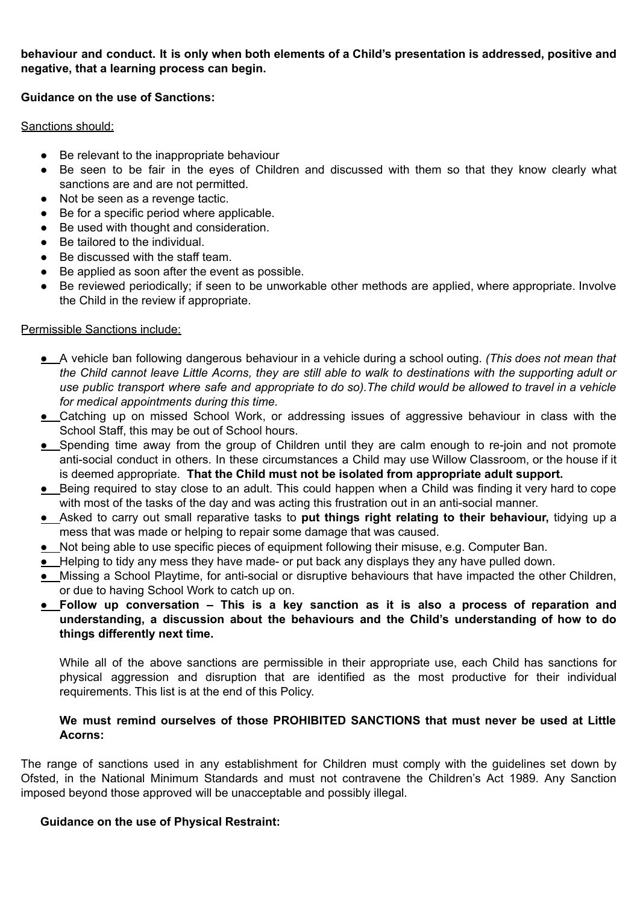**behaviour and conduct. It is only when both elements of a Child's presentation is addressed, positive and negative, that a learning process can begin.**

### **Guidance on the use of Sanctions:**

#### Sanctions should:

- Be relevant to the inappropriate behaviour
- Be seen to be fair in the eyes of Children and discussed with them so that they know clearly what sanctions are and are not permitted.
- Not be seen as a revenge tactic.
- Be for a specific period where applicable.
- Be used with thought and consideration.
- Be tailored to the individual.
- Be discussed with the staff team.
- Be applied as soon after the event as possible.
- Be reviewed periodically; if seen to be unworkable other methods are applied, where appropriate. Involve the Child in the review if appropriate.

### Permissible Sanctions include:

- A vehicle ban following dangerous behaviour in a vehicle during a school outing. *(This does not mean that* the Child cannot leave Little Acorns, they are still able to walk to destinations with the supporting adult or use public transport where safe and appropriate to do so). The child would be allowed to travel in a vehicle *for medical appointments during this time.*
- Catching up on missed School Work, or addressing issues of aggressive behaviour in class with the School Staff, this may be out of School hours.
- Spending time away from the group of Children until they are calm enough to re-join and not promote anti-social conduct in others. In these circumstances a Child may use Willow Classroom, or the house if it is deemed appropriate. **That the Child must not be isolated from appropriate adult support.**
- Being required to stay close to an adult. This could happen when a Child was finding it very hard to cope with most of the tasks of the day and was acting this frustration out in an anti-social manner.
- Asked to carry out small reparative tasks to **put things right relating to their behaviour,** tidying up a mess that was made or helping to repair some damage that was caused.
- Not being able to use specific pieces of equipment following their misuse, e.g. Computer Ban.
- Helping to tidy any mess they have made- or put back any displays they any have pulled down.
- Missing a School Playtime, for anti-social or disruptive behaviours that have impacted the other Children, or due to having School Work to catch up on.
- **Follow up conversation – This is a key sanction as it is also a process of reparation and understanding, a discussion about the behaviours and the Child's understanding of how to do things differently next time.**

While all of the above sanctions are permissible in their appropriate use, each Child has sanctions for physical aggression and disruption that are identified as the most productive for their individual requirements. This list is at the end of this Policy.

### **We must remind ourselves of those PROHIBITED SANCTIONS that must never be used at Little Acorns:**

The range of sanctions used in any establishment for Children must comply with the guidelines set down by Ofsted, in the National Minimum Standards and must not contravene the Children's Act 1989. Any Sanction imposed beyond those approved will be unacceptable and possibly illegal.

### **Guidance on the use of Physical Restraint:**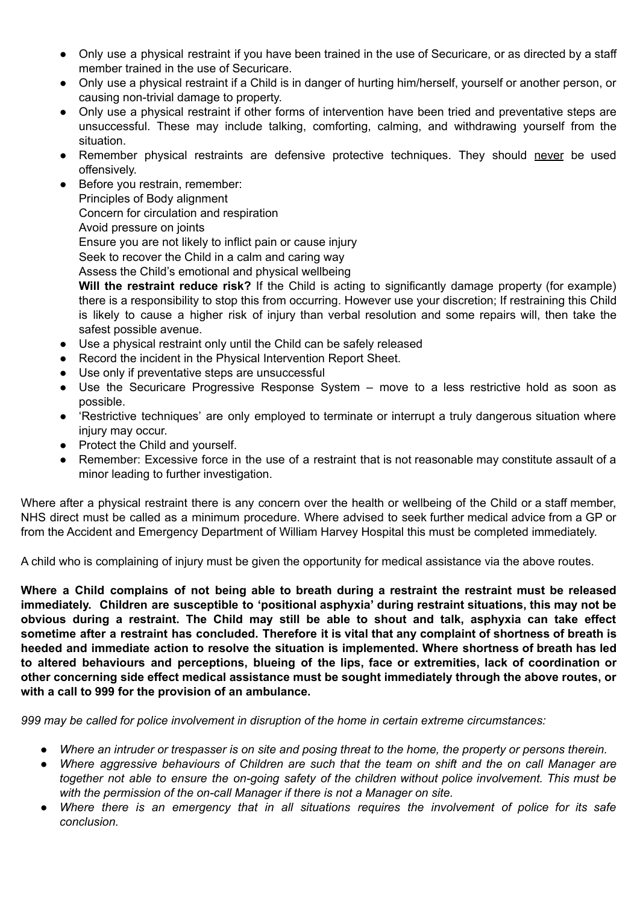- Only use a physical restraint if you have been trained in the use of Securicare, or as directed by a staff member trained in the use of Securicare.
- Only use a physical restraint if a Child is in danger of hurting him/herself, yourself or another person, or causing non-trivial damage to property.
- Only use a physical restraint if other forms of intervention have been tried and preventative steps are unsuccessful. These may include talking, comforting, calming, and withdrawing yourself from the situation.
- Remember physical restraints are defensive protective techniques. They should never be used offensively.
- Before you restrain, remember: Principles of Body alignment Concern for circulation and respiration Avoid pressure on joints Ensure you are not likely to inflict pain or cause injury Seek to recover the Child in a calm and caring way Assess the Child's emotional and physical wellbeing **Will the restraint reduce risk?** If the Child is acting to significantly damage property (for example)
	- there is a responsibility to stop this from occurring. However use your discretion; If restraining this Child is likely to cause a higher risk of injury than verbal resolution and some repairs will, then take the safest possible avenue.
- Use a physical restraint only until the Child can be safely released
- Record the incident in the Physical Intervention Report Sheet.
- Use only if preventative steps are unsuccessful
- Use the Securicare Progressive Response System move to a less restrictive hold as soon as possible.
- 'Restrictive techniques' are only employed to terminate or interrupt a truly dangerous situation where injury may occur.
- Protect the Child and yourself.
- Remember: Excessive force in the use of a restraint that is not reasonable may constitute assault of a minor leading to further investigation.

Where after a physical restraint there is any concern over the health or wellbeing of the Child or a staff member, NHS direct must be called as a minimum procedure. Where advised to seek further medical advice from a GP or from the Accident and Emergency Department of William Harvey Hospital this must be completed immediately.

A child who is complaining of injury must be given the opportunity for medical assistance via the above routes.

Where a Child complains of not being able to breath during a restraint the restraint must be released **immediately. Children are susceptible to 'positional asphyxia' during restraint situations, this may not be** obvious during a restraint. The Child may still be able to shout and talk, asphyxia can take effect sometime after a restraint has concluded. Therefore it is vital that any complaint of shortness of breath is **heeded and immediate action to resolve the situation is implemented. Where shortness of breath has led to altered behaviours and perceptions, blueing of the lips, face or extremities, lack of coordination or other concerning side effect medical assistance must be sought immediately through the above routes, or with a call to 999 for the provision of an ambulance.**

*999 may be called for police involvement in disruption of the home in certain extreme circumstances:*

- Where an intruder or trespasser is on site and posing threat to the home, the property or persons therein.
- Where aggressive behaviours of Children are such that the team on shift and the on call Manager are *together not able to ensure the on-going safety of the children without police involvement. This must be with the permission of the on-call Manager if there is not a Manager on site.*
- Where there is an emergency that in all situations requires the involvement of police for its safe *conclusion.*